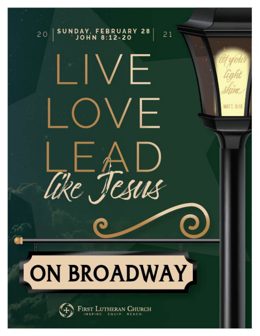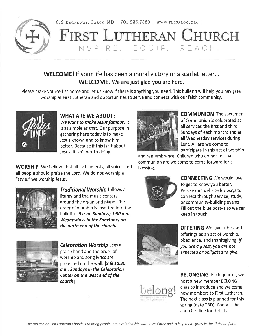



# FIRST LUTHERAN CHURCH INSPIRE, EQUIP, REACH,

# **WELCOME!** If your life has been a moral victory or a scarlet letter... **WELCOME.** We are just glad you are here.

Please make yourself at home and let us know if there is anything you need. This bulletin will help you navigate worship at First Lutheran and opportunities to serve and connect with our faith community.



**WHAT ARE WE ABOUT?** We want to make Jesus famous. It is as simple as that. Our purpose in gathering here today is to make Jesus known and to know him better. Because if this isn't about Jesus, it isn't worth doing.

**WORSHIP** We believe that all instruments, all voices and all people should praise the Lord. We do not worship a "style," we worship Jesus.



**Traditional Worship follows a** liturgy and the music centers around the organ and piano. The order of worship is inserted into the bulletin. [9 a.m. Sundays; 1:30 p.m. **Wednesdays in the Sanctuary on** the north end of the church.]



**Celebration Worship uses a** praise band and the order of worship and song lyrics are projected on the wall. [9 & 10:30 a.m. Sundays in the Celebration Center on the west end of the *church*]



**OFFERING** We give tithes and offerings as an act of worship, obedience, and thanksgiving. If you are a quest, you are not expected or obligated to give.



**BELONGING** Each quarter, we host a new member BELONG class to introduce and welcome new members to First Lutheran. The next class is planned for this spring (date TBD). Contact the church office for details.



**COMMUNION** The sacrament of Communion is celebrated at all services the first and third Sundays of each month; and at all Wednesday services during Lent. All are welcome to participate in this act of worship

and remembrance. Children who do not receive communion are welcome to come forward for a blessing.



**CONNECTING** We would love to get to know you better. Peruse our website for ways to connect through service, study, or community-building events. Fill out the blue post-it so we can keep in touch.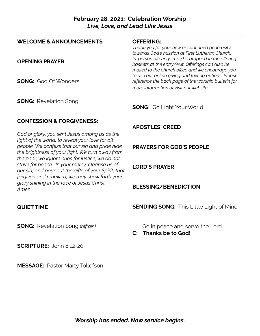# **February 28, 2021: Celebration Worship** *Live, Love, and Lead Like Jesus*

| <b>WELCOME &amp; ANNOUNCEMENTS</b>                                                                                                                                                                                                                       | <b>OFFERING:</b><br>Thank you for your new or continued generosity<br>towards God's mission at First Lutheran Church.                                      |
|----------------------------------------------------------------------------------------------------------------------------------------------------------------------------------------------------------------------------------------------------------|------------------------------------------------------------------------------------------------------------------------------------------------------------|
| <b>OPENING PRAYER</b>                                                                                                                                                                                                                                    | In-person offerings may be dropped in the offering<br>baskets at the entry/exit. Offerings can also be<br>mailed to the church office and we encourage you |
| <b>SONG:</b> God Of Wonders                                                                                                                                                                                                                              | to use our online giving and texting options. Please<br>reference the back page of the worship bulletin for<br>more information or visit our website.      |
| <b>SONG: Revelation Song</b>                                                                                                                                                                                                                             | <b>SONG:</b> Go Light Your World                                                                                                                           |
| <b>CONFESSION &amp; FORGIVENESS:</b>                                                                                                                                                                                                                     |                                                                                                                                                            |
|                                                                                                                                                                                                                                                          | <b>APOSTLES' CREED</b>                                                                                                                                     |
| God of glory, you sent Jesus among us as the<br>light of the world, to reveal your love for all<br>people. We confess that our sin and pride hide<br>the brightness of your light. We turn away from<br>the poor; we ignore cries for justice; we do not | <b>PRAYERS FOR GOD'S PEOPLE</b>                                                                                                                            |
| strive for peace. In your mercy, cleanse us of<br>our sin, and pour out the gifts of your Spirit, that,<br>forgiven and renewed, we may show forth your                                                                                                  | <b>LORD'S PRAYER</b>                                                                                                                                       |
| glory shining in the face of Jesus Christ.<br>Amen.                                                                                                                                                                                                      | <b>BLESSING/BENEDICTION</b>                                                                                                                                |
| <b>QUIET TIME</b>                                                                                                                                                                                                                                        | <b>SENDING SONG:</b> This Little Light of Mine                                                                                                             |
| <b>SONG:</b> Revelation Song (refrain)                                                                                                                                                                                                                   | Go in peace and serve the Lord.<br>L:<br><b>Thanks be to God!</b><br>$\mathbf{C}$                                                                          |
| <b>SCRIPTURE: John 8:12-20</b>                                                                                                                                                                                                                           |                                                                                                                                                            |
| <b>MESSAGE: Pastor Marty Tollefson</b>                                                                                                                                                                                                                   |                                                                                                                                                            |
|                                                                                                                                                                                                                                                          |                                                                                                                                                            |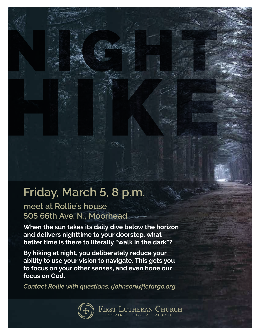# **Friday, March 5, 8 p.m.**

**meet at Rollie's house 505 66th Ave. N., Moorhead**

**When the sun takes its daily dive below the horizon and delivers nighttime to your doorstep, what better time is there to literally "walk in the dark"?**

**By hiking at night, you deliberately reduce your ability to use your vision to navigate. This gets you to focus on your other senses, and even hone our focus on God.**

*Contact Rollie with questions, rjohnson@flcfargo.org*



FIRST LUTHERAN CHURCH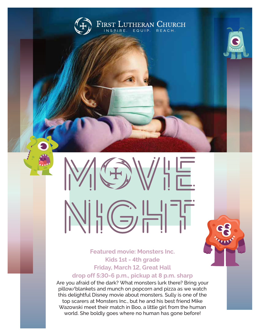

# $\begin{array}{c} 1 \\ 1 \\ \hline \end{array}$ NHGHT

**Featured movie: Monsters Inc. Kids 1st - 4th grade Friday, March 12, Great Hall drop off 5:30-6 p.m., pickup at 8 p.m. sharp**

Are you afraid of the dark? What monsters lurk there? Bring your pillow/blankets and munch on popcorn and pizza as we watch this delightful Disney movie about monsters. Sully is one of the top scarers at Monsters Inc., but he and his best friend Mike Wazowski meet their match in Boo, a little girl from the human world. She boldly goes where no human has gone before!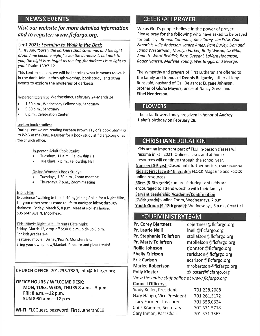# **NEWS&EVENTS**

### Visit our website for more detailed information and to register: www.flcfargo.org.

#### Lent 2021: Learning to Walk in the Dark

"... If I say, "Surely the darkness shall cover me, and the light around me become night," even the darkness is not dark to you; the night is as bright as the day, for darkness is as light to you." Psalm 139:7-12

This Lenten season, we will be learning what it means to walk in the dark. Join us through worship, book study, and other events to explore the mysteries of darkness.

#### In-person worship: Wednesdays, February 24-March 24

- 1:30 p.m., Wednesday Fellowship, Sanctuary  $\bullet$
- 5:30 p.m., Sanctuary
- b 6 p.m., Celebration Center

#### Lenten book studies:

During Lent we are reading Barbara Brown Taylor's book Learning to Walk in the Dark. Register for a book study at flcfargo.org or at the church office.

#### In-person Adult Book Study:

- Tuesdays, 11 a.m., Fellowship Hall
- Tuesdays, 7 p.m., Fellowship Hall

#### **Online Women's Book Study:**

- Tuesdays, 1:30 p.m., Zoom meeting
- Thursdays, 7 p.m., Zoom meeting

#### Night Hike

Experience "walking in the dark" by joining Rollie for a Night Hike. Let your other senses come to life to navigate hiking through darkness. Friday, March 5, 8 p.m. Meet at Rollie's house: 505 66th Ave N, Moorhead.

#### Kids' Movie Night Out-Parents Date Night

Friday, March 12, drop-off 5:30-6 p.m., pick-up 8 p.m. For kids grades 1-4 Featured movie: Disney/Pixar's Monsters Inc. Bring your own pillow/blanket. Popcorn and pizza treats!

CHURCH OFFICE: 701.235.7389, info@flcfargo.org

**OFFICE HOURS / WELCOME DESK:** MON, TUES, WEDS, THURS 8 a.m. - 5 p.m. FRI: 8 a.m. - 12 p.m. SUN 8:30 a.m. - 12 p.m.

Wi-Fi: FLCGuest, password: FirstLutheran619

# **CELEBRATEPRAYER**

We as God's people believe in the power of prayer. Please pray for the following who have asked to be prayed for publicly: Brenda Cummins, Amy Carey, Jim Frisk, Gail Zimprich, Julie Anderson, Janice Ames, Pam Burley, Dan and Janna Westerholm, Marilyn Parker, Betty Wilson, Liz Gibb, Annette Ward-Reddick, Barb Orvedal, LaVern Hoganson, Roger Hansen, Marlene Young, Wes Briags, and George.

The sympathy and prayers of First Lutheran are offered to the family and friends of Dennis Belgarde, father of Jeny Runsvold, husband of Gail Belgarde; Eugene Johnson, brother of Gloria Meyers, uncle of Nancy Gress; and **Ethel Henderson.** 

#### **FLOWERS**

The altar flowers today are given in honor of Audrey Hahn's birthday on February 28.

# **CHRISTIANEDUCATION**

Kids are an important part of FLC! In-person classes will resume in Fall 2021. Online classes and at home resources will continue through the school year. Nursery (0-5 yrs): Closed until further notice (COVID precaution) Kids at First (age 3-4th grade): FLOCK Magazine and FLOCK online resources

56ers (5-6th grade): on break during Lent (kids are encouraged to attend worship with their family) Servant Leadership Academy/Confirmation (7-8th grade): online Zoom, Wednesdays, 7 p.m. Youth Group (9-12th grade): Wednesdays, 8 p.m., Great Hall

# **YOURMINISTRYTEAM**

**Pr. Corey Bjertness** cbjertness@flcfargo.org Pr. Laurie Neill Ineill@flcfargo.org **Pr. Stephanie Tollefson** stollefson@flcfargo.org **Pr. Marty Tollefson** mtollefson@flcfargo.org **Rollie Johnson** rjohnson@flcfargo.org **Shelly Erickson** serickson@flcfargo.org **Erik Carlson** ecarlson@flcfargo.org **Marlee Robertson** mrobertson@flcfargo.org **Polly Kloster** pkloster@flcfargo.org View the entire staff online at www.flcfargo.org **Council Officers:** Sindy Keller, President

701.238.2088 701.261.5172 701.356.0324 701.371.5718

Gary Haugo, Vice President **Tracy Farmer, Treasurer** Chris Kraemer, Secretary Gary Inman, Past Chair 701.371.1563